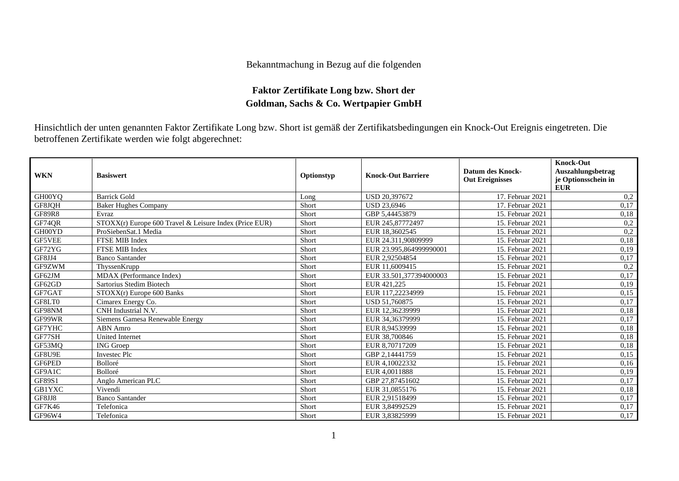## Bekanntmachung in Bezug auf die folgenden

## **Faktor Zertifikate Long bzw. Short der Goldman, Sachs & Co. Wertpapier GmbH**

Hinsichtlich der unten genannten Faktor Zertifikate Long bzw. Short ist gemäß der Zertifikatsbedingungen ein Knock-Out Ereignis eingetreten. Die betroffenen Zertifikate werden wie folgt abgerechnet:

| <b>WKN</b>    | <b>Basiswert</b>                                       | Optionstyp | <b>Knock-Out Barriere</b> | Datum des Knock-<br><b>Out Ereignisses</b> | <b>Knock-Out</b><br>Auszahlungsbetrag<br>je Optionsschein in<br><b>EUR</b> |
|---------------|--------------------------------------------------------|------------|---------------------------|--------------------------------------------|----------------------------------------------------------------------------|
| GH00YQ        | <b>Barrick Gold</b>                                    | Long       | USD 20,397672             | 17. Februar 2021                           | 0,2                                                                        |
| GF8JQH        | <b>Baker Hughes Company</b>                            | Short      | <b>USD 23.6946</b>        | 17. Februar 2021                           | 0.17                                                                       |
| <b>GF89R8</b> | Evraz                                                  | Short      | GBP 5,44453879            | 15. Februar 2021                           | 0,18                                                                       |
| GF74QR        | STOXX(r) Europe 600 Travel & Leisure Index (Price EUR) | Short      | EUR 245,87772497          | 15. Februar 2021                           | 0,2                                                                        |
| GH00YD        | ProSiebenSat.1 Media                                   | Short      | EUR 18.3602545            | 15. Februar 2021                           | 0,2                                                                        |
| <b>GF5VEE</b> | <b>FTSE MIB Index</b>                                  | Short      | EUR 24.311,90809999       | 15. Februar 2021                           | 0,18                                                                       |
| GF72YG        | FTSE MIB Index                                         | Short      | EUR 23.995,864999990001   | 15. Februar 2021                           | 0,19                                                                       |
| GF8JJ4        | <b>Banco Santander</b>                                 | Short      | EUR 2,92504854            | 15. Februar 2021                           | 0,17                                                                       |
| GF9ZWM        | ThyssenKrupp                                           | Short      | EUR 11,6009415            | 15. Februar 2021                           | 0,2                                                                        |
| GF62JM        | MDAX (Performance Index)                               | Short      | EUR 33.501,377394000003   | 15. Februar 2021                           | 0,17                                                                       |
| GF62GD        | Sartorius Stedim Biotech                               | Short      | EUR 421,225               | 15. Februar 2021                           | 0,19                                                                       |
| GF7GAT        | STOXX(r) Europe 600 Banks                              | Short      | EUR 117,22234999          | 15. Februar 2021                           | 0,15                                                                       |
| GF8LT0        | Cimarex Energy Co.                                     | Short      | USD 51.760875             | 15. Februar 2021                           | 0,17                                                                       |
| GF98NM        | CNH Industrial N.V.                                    | Short      | EUR 12.36239999           | 15. Februar 2021                           | 0,18                                                                       |
| GF99WR        | Siemens Gamesa Renewable Energy                        | Short      | EUR 34,36379999           | 15. Februar 2021                           | 0,17                                                                       |
| GF7YHC        | ABN Amro                                               | Short      | EUR 8.94539999            | 15. Februar 2021                           | 0,18                                                                       |
| GF77SH        | <b>United Internet</b>                                 | Short      | EUR 38,700846             | 15. Februar 2021                           | 0,18                                                                       |
| GF53MQ        | <b>ING</b> Groep                                       | Short      | EUR 8,70717209            | 15. Februar 2021                           | 0.18                                                                       |
| GF8U9E        | <b>Investec Plc</b>                                    | Short      | GBP 2,14441759            | 15. Februar 2021                           | 0,15                                                                       |
| GF6PED        | Bolloré                                                | Short      | EUR 4.10022332            | 15. Februar 2021                           | 0.16                                                                       |
| GF9A1C        | Bolloré                                                | Short      | EUR 4.0011888             | 15. Februar 2021                           | 0,19                                                                       |
| GF89S1        | Anglo American PLC                                     | Short      | GBP 27.87451602           | 15. Februar 2021                           | 0,17                                                                       |
| <b>GB1YXC</b> | Vivendi                                                | Short      | EUR 31,0855176            | 15. Februar 2021                           | 0,18                                                                       |
| GF8JJ8        | <b>Banco Santander</b>                                 | Short      | EUR 2,91518499            | 15. Februar 2021                           | 0,17                                                                       |
| GF7K46        | Telefonica                                             | Short      | EUR 3,84992529            | 15. Februar 2021                           | 0,17                                                                       |
| GF96W4        | Telefonica                                             | Short      | EUR 3,83825999            | 15. Februar 2021                           | 0,17                                                                       |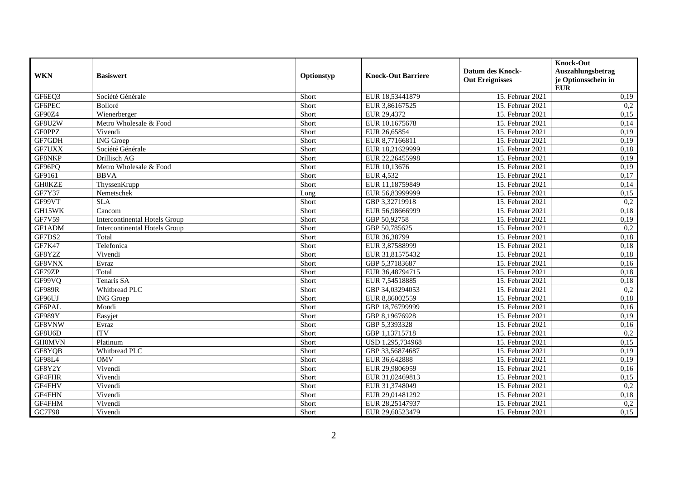|               |                                      |            |                           |                                                   | <b>Knock-Out</b>                                       |
|---------------|--------------------------------------|------------|---------------------------|---------------------------------------------------|--------------------------------------------------------|
| <b>WKN</b>    | <b>Basiswert</b>                     | Optionstyp | <b>Knock-Out Barriere</b> | <b>Datum des Knock-</b><br><b>Out Ereignisses</b> | Auszahlungsbetrag<br>je Optionsschein in<br><b>EUR</b> |
| GF6EQ3        | Société Générale                     | Short      | EUR 18,53441879           | 15. Februar 2021                                  | 0,19                                                   |
| GF6PEC        | Bolloré                              | Short      | EUR 3,86167525            | 15. Februar 2021                                  | 0,2                                                    |
| GF90Z4        | Wienerberger                         | Short      | EUR 29,4372               | 15. Februar 2021                                  | 0,15                                                   |
| GF8U2W        | Metro Wholesale & Food               | Short      | EUR 10,1675678            | 15. Februar 2021                                  | 0,14                                                   |
| <b>GFOPPZ</b> | Vivendi                              | Short      | EUR 26,65854              | 15. Februar 2021                                  | 0,19                                                   |
| GF7GDH        | <b>ING</b> Groep                     | Short      | EUR 8,77166811            | 15. Februar 2021                                  | 0,19                                                   |
| GF7UXX        | Société Générale                     | Short      | EUR 18,21629999           | 15. Februar 2021                                  | 0,18                                                   |
| GF8NKP        | Drillisch AG                         | Short      | EUR 22,26455998           | 15. Februar 2021                                  | 0,19                                                   |
| GF96PQ        | Metro Wholesale & Food               | Short      | EUR 10,13676              | 15. Februar 2021                                  | 0,19                                                   |
| GF9161        | <b>BBVA</b>                          | Short      | EUR 4,532                 | 15. Februar 2021                                  | 0,17                                                   |
| <b>GH0KZE</b> | ThyssenKrupp                         | Short      | EUR 11,18759849           | 15. Februar 2021                                  | 0,14                                                   |
| <b>GF7Y37</b> | Nemetschek                           | Long       | EUR 56,83999999           | 15. Februar 2021                                  | 0,15                                                   |
| GF99VT        | <b>SLA</b>                           | Short      | GBP 3,32719918            | 15. Februar 2021                                  | 0,2                                                    |
| GH15WK        | Cancom                               | Short      | EUR 56,98666999           | 15. Februar 2021                                  | 0,18                                                   |
| <b>GF7V59</b> | <b>Intercontinental Hotels Group</b> | Short      | GBP 50,92758              | 15. Februar 2021                                  | 0,19                                                   |
| GF1ADM        | <b>Intercontinental Hotels Group</b> | Short      | GBP 50,785625             | 15. Februar 2021                                  | 0,2                                                    |
| GF7DS2        | Total                                | Short      | EUR 36,38799              | 15. Februar 2021                                  | 0,18                                                   |
| GF7K47        | Telefonica                           | Short      | EUR 3,87588999            | 15. Februar 2021                                  | 0,18                                                   |
| GF8Y2Z        | Vivendi                              | Short      | EUR 31,81575432           | 15. Februar 2021                                  | 0,18                                                   |
| GF8VNX        | Evraz                                | Short      | GBP 5,37183687            | 15. Februar 2021                                  | 0,16                                                   |
| GF79ZP        | Total                                | Short      | EUR 36,48794715           | 15. Februar 2021                                  | 0,18                                                   |
| GF99VQ        | Tenaris SA                           | Short      | EUR 7,54518885            | 15. Februar 2021                                  | 0,18                                                   |
| <b>GF989R</b> | Whitbread PLC                        | Short      | GBP 34,03294053           | 15. Februar 2021                                  | 0,2                                                    |
| GF96UJ        | <b>ING</b> Groep                     | Short      | EUR 8,86002559            | 15. Februar 2021                                  | 0,18                                                   |
| GF6PAL        | Mondi                                | Short      | GBP 18,76799999           | 15. Februar 2021                                  | 0,16                                                   |
| GF989Y        | Easyjet                              | Short      | GBP 8,19676928            | 15. Februar 2021                                  | 0,19                                                   |
| GF8VNW        | Evraz                                | Short      | GBP 5,3393328             | 15. Februar 2021                                  | 0,16                                                   |
| GF8U6D        | <b>ITV</b>                           | Short      | GBP 1,13715718            | 15. Februar 2021                                  | 0,2                                                    |
| <b>GH0MVN</b> | Platinum                             | Short      | USD 1.295,734968          | 15. Februar 2021                                  | 0,15                                                   |
| GF8YQB        | Whitbread PLC                        | Short      | GBP 33,56874687           | 15. Februar 2021                                  | 0,19                                                   |
| GF98L4        | <b>OMV</b>                           | Short      | EUR 36,642888             | 15. Februar 2021                                  | 0,19                                                   |
| GF8Y2Y        | Vivendi                              | Short      | EUR 29,9806959            | 15. Februar 2021                                  | 0,16                                                   |
| GF4FHR        | Vivendi                              | Short      | EUR 31,02469813           | 15. Februar 2021                                  | 0,15                                                   |
| GF4FHV        | Vivendi                              | Short      | EUR 31,3748049            | 15. Februar 2021                                  | 0,2                                                    |
| GF4FHN        | Vivendi                              | Short      | EUR 29,01481292           | 15. Februar 2021                                  | 0,18                                                   |
| GF4FHM        | Vivendi                              | Short      | EUR 28,25147937           | 15. Februar 2021                                  | 0,2                                                    |
| GC7F98        | Vivendi                              | Short      | EUR 29,60523479           | 15. Februar 2021                                  | 0,15                                                   |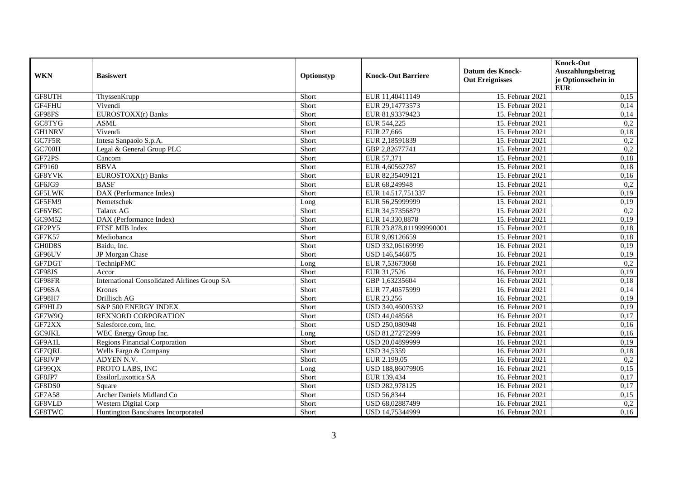| <b>WKN</b>    | <b>Basiswert</b>                                    | Optionstyp | <b>Knock-Out Barriere</b> | <b>Datum des Knock-</b> | <b>Knock-Out</b><br>Auszahlungsbetrag |
|---------------|-----------------------------------------------------|------------|---------------------------|-------------------------|---------------------------------------|
|               |                                                     |            |                           | <b>Out Ereignisses</b>  | je Optionsschein in<br><b>EUR</b>     |
| GF8UTH        | ThyssenKrupp                                        | Short      | EUR 11,40411149           | 15. Februar 2021        | 0,15                                  |
| GF4FHU        | Vivendi                                             | Short      | EUR 29,14773573           | 15. Februar 2021        | 0,14                                  |
| GF98FS        | EUROSTOXX(r) Banks                                  | Short      | EUR 81,93379423           | 15. Februar 2021        | 0,14                                  |
| GC8TYG        | <b>ASML</b>                                         | Short      | EUR 544,225               | 15. Februar 2021        | 0,2                                   |
| <b>GH1NRV</b> | Vivendi                                             | Short      | EUR 27,666                | 15. Februar 2021        | 0,18                                  |
| GC7F5R        | Intesa Sanpaolo S.p.A.                              | Short      | EUR 2,18591839            | 15. Februar 2021        | 0,2                                   |
| GC700H        | Legal & General Group PLC                           | Short      | GBP 2,82677741            | 15. Februar 2021        | 0,2                                   |
| GF72PS        | Cancom                                              | Short      | EUR 57,371                | 15. Februar 2021        | 0,18                                  |
| GF9160        | <b>BBVA</b>                                         | Short      | EUR 4,60562787            | 15. Februar 2021        | 0,18                                  |
| GF8YVK        | EUROSTOXX(r) Banks                                  | Short      | EUR 82,35409121           | 15. Februar 2021        | 0,16                                  |
| GF6JG9        | <b>BASF</b>                                         | Short      | EUR 68,249948             | 15. Februar 2021        | 0,2                                   |
| <b>GF5LWK</b> | DAX (Performance Index)                             | Short      | EUR 14.517,751337         | 15. Februar 2021        | 0,19                                  |
| GF5FM9        | Nemetschek                                          | Long       | EUR 56,25999999           | 15. Februar 2021        | 0,19                                  |
| GF6VBC        | Talanx AG                                           | Short      | EUR 34,57356879           | 15. Februar 2021        | 0,2                                   |
| GC9M52        | DAX (Performance Index)                             | Short      | EUR 14.330,8878           | 15. Februar 2021        | 0,19                                  |
| GF2PY5        | FTSE MIB Index                                      | Short      | EUR 23.878,811999990001   | 15. Februar 2021        | 0,18                                  |
| <b>GF7K57</b> | Mediobanca                                          | Short      | EUR 9,09126659            | 15. Februar 2021        | 0,18                                  |
| GH0D8S        | Baidu, Inc.                                         | Short      | USD 332,06169999          | 16. Februar 2021        | 0,19                                  |
| GF96UV        | JP Morgan Chase                                     | Short      | USD 146,546875            | 16. Februar 2021        | 0,19                                  |
| GF7DGT        | TechnipFMC                                          | Long       | EUR 7,53673068            | 16. Februar 2021        | 0,2                                   |
| GF98JS        | Accor                                               | Short      | EUR 31,7526               | 16. Februar 2021        | 0,19                                  |
| GF98FR        | <b>International Consolidated Airlines Group SA</b> | Short      | GBP 1,63235604            | 16. Februar 2021        | 0,18                                  |
| GF96SA        | Krones                                              | Short      | EUR 77,40575999           | 16. Februar 2021        | 0,14                                  |
| <b>GF98H7</b> | Drillisch AG                                        | Short      | EUR 23,256                | 16. Februar 2021        | 0,19                                  |
| GF9HLD        | S&P 500 ENERGY INDEX                                | Short      | USD 340,46005332          | 16. Februar 2021        | 0,19                                  |
| GF7W9Q        | <b>REXNORD CORPORATION</b>                          | Short      | USD 44,048568             | 16. Februar 2021        | 0,17                                  |
| GF72XX        | Salesforce.com, Inc.                                | Short      | USD 250,080948            | 16. Februar 2021        | 0,16                                  |
| GC9JKL        | WEC Energy Group Inc.                               | Long       | USD 81,27272999           | 16. Februar 2021        | 0,16                                  |
| GF9A1L        | <b>Regions Financial Corporation</b>                | Short      | USD 20,04899999           | 16. Februar 2021        | 0,19                                  |
| GF7QRL        | Wells Fargo & Company                               | Short      | <b>USD 34,5359</b>        | 16. Februar 2021        | 0,18                                  |
| GF8JVP        | ADYEN N.V.                                          | Short      | EUR 2.199,05              | 16. Februar 2021        | 0,2                                   |
| GF99QX        | PROTO LABS, INC                                     | Long       | USD 188,86079905          | 16. Februar 2021        | 0,15                                  |
| GF8JP7        | EssilorLuxottica SA                                 | Short      | EUR 139,434               | 16. Februar 2021        | 0,17                                  |
| GF8DS0        | Square                                              | Short      | USD 282,978125            | 16. Februar 2021        | 0,17                                  |
| <b>GF7A58</b> | Archer Daniels Midland Co                           | Short      | <b>USD 56,8344</b>        | 16. Februar 2021        | 0,15                                  |
| GF8VLD        | Western Digital Corp                                | Short      | USD 68,02887499           | 16. Februar 2021        | 0,2                                   |
| GF8TWC        | Huntington Bancshares Incorporated                  | Short      | USD 14,75344999           | 16. Februar 2021        | 0,16                                  |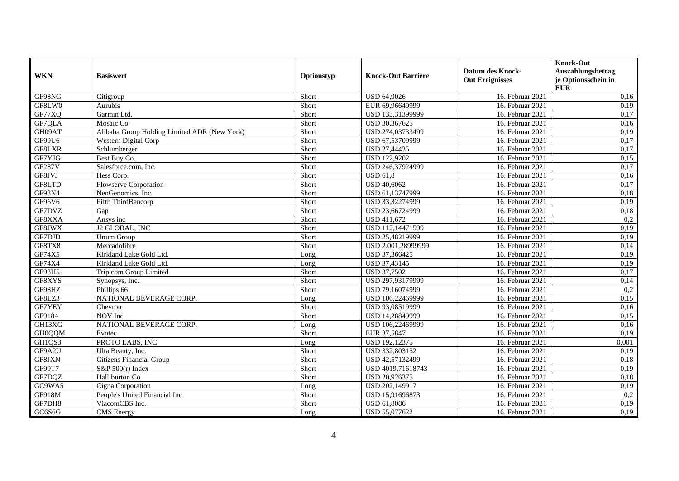|               |                                              |            |                           | <b>Datum des Knock-</b> | <b>Knock-Out</b><br>Auszahlungsbetrag |
|---------------|----------------------------------------------|------------|---------------------------|-------------------------|---------------------------------------|
| <b>WKN</b>    | <b>Basiswert</b>                             | Optionstyp | <b>Knock-Out Barriere</b> | <b>Out Ereignisses</b>  | je Optionsschein in<br><b>EUR</b>     |
| GF98NG        | Citigroup                                    | Short      | <b>USD 64,9026</b>        | 16. Februar 2021        | 0,16                                  |
| GF8LW0        | Aurubis                                      | Short      | EUR 69,96649999           | 16. Februar 2021        | 0,19                                  |
| GF77XQ        | Garmin Ltd.                                  | Short      | USD 133,31399999          | 16. Februar 2021        | 0,17                                  |
| GF7QLA        | Mosaic Co                                    | Short      | USD 30,367625             | 16. Februar 2021        | 0,16                                  |
| GH09AT        | Alibaba Group Holding Limited ADR (New York) | Short      | USD 274,03733499          | 16. Februar 2021        | 0,19                                  |
| GF99U6        | <b>Western Digital Corp</b>                  | Short      | USD 67,53709999           | 16. Februar 2021        | 0,17                                  |
| GF8LXR        | Schlumberger                                 | Short      | USD 27,44435              | 16. Februar 2021        | 0,17                                  |
| GF7YJG        | Best Buy Co.                                 | Short      | <b>USD 122,9202</b>       | 16. Februar 2021        | 0,15                                  |
| <b>GF287V</b> | Salesforce.com, Inc.                         | Short      | USD 246,37924999          | 16. Februar 2021        | 0,17                                  |
| GF8JVJ        | Hess Corp.                                   | Short      | <b>USD 61,8</b>           | 16. Februar 2021        | 0,16                                  |
| GF8LTD        | <b>Flowserve Corporation</b>                 | Short      | <b>USD 40,6062</b>        | 16. Februar 2021        | 0,17                                  |
| GF93N4        | NeoGenomics, Inc.                            | Short      | USD 61,13747999           | 16. Februar 2021        | 0,18                                  |
| GF96V6        | Fifth ThirdBancorp                           | Short      | USD 33,32274999           | 16. Februar 2021        | 0,19                                  |
| GF7DVZ        | Gap                                          | Short      | USD 23,66724999           | 16. Februar 2021        | 0,18                                  |
| GF8XXA        | Ansys inc                                    | Short      | USD 411,672               | 16. Februar 2021        | 0,2                                   |
| GF8JWX        | J2 GLOBAL, INC                               | Short      | USD 112,14471599          | 16. Februar 2021        | 0,19                                  |
| GF7DJD        | Unum Group                                   | Short      | USD 25,48219999           | 16. Februar 2021        | 0,19                                  |
| GF8TX8        | Mercadolibre                                 | Short      | USD 2.001,28999999        | 16. Februar 2021        | 0,14                                  |
| GF74X5        | Kirkland Lake Gold Ltd.                      | Long       | USD 37,366425             | 16. Februar 2021        | 0,19                                  |
| GF74X4        | Kirkland Lake Gold Ltd.                      | Long       | USD 37,43145              | 16. Februar 2021        | 0,19                                  |
| GF93H5        | Trip.com Group Limited                       | Short      | <b>USD 37,7502</b>        | 16. Februar 2021        | 0,17                                  |
| GF8XYS        | Synopsys, Inc.                               | Short      | USD 297,93179999          | 16. Februar 2021        | 0,14                                  |
| GF98HZ        | Phillips 66                                  | Short      | USD 79,16074999           | 16. Februar 2021        | 0,2                                   |
| GF8LZ3        | NATIONAL BEVERAGE CORP.                      | Long       | USD 106,22469999          | 16. Februar 2021        | 0,15                                  |
| GF7YEY        | Chevron                                      | Short      | USD 93,08519999           | 16. Februar 2021        | 0,16                                  |
| GF9184        | NOV Inc                                      | Short      | USD 14,28849999           | 16. Februar 2021        | 0,15                                  |
| GH13XG        | NATIONAL BEVERAGE CORP.                      | Long       | USD 106,22469999          | 16. Februar 2021        | 0,16                                  |
| GH0QQM        | Evotec                                       | Short      | EUR 37,5847               | 16. Februar 2021        | 0,19                                  |
| GH1QS3        | PROTO LABS, INC                              | Long       | USD 192,12375             | 16. Februar 2021        | 0,001                                 |
| GF9A2U        | Ulta Beauty, Inc.                            | Short      | USD 332,803152            | 16. Februar 2021        | 0,19                                  |
| GF8JXN        | <b>Citizens Financial Group</b>              | Short      | USD 42,57132499           | 16. Februar 2021        | 0,18                                  |
| GF99T7        | $S\&P\,500(r)$ Index                         | Short      | USD 4019,71618743         | 16. Februar 2021        | 0,19                                  |
| GF7DQZ        | Halliburton Co                               | Short      | USD 20,926375             | 16. Februar 2021        | 0,18                                  |
| GC9WA5        | Cigna Corporation                            | Long       | USD 202,149917            | 16. Februar 2021        | 0,19                                  |
| GF918M        | People's United Financial Inc                | Short      | USD 15,91696873           | 16. Februar 2021        | 0,2                                   |
| GF7DH8        | ViacomCBS Inc.                               | Short      | USD 61,8086               | 16. Februar 2021        | 0,19                                  |
| GC6S6G        | <b>CMS</b> Energy                            | Long       | USD 55,077622             | 16. Februar 2021        | 0,19                                  |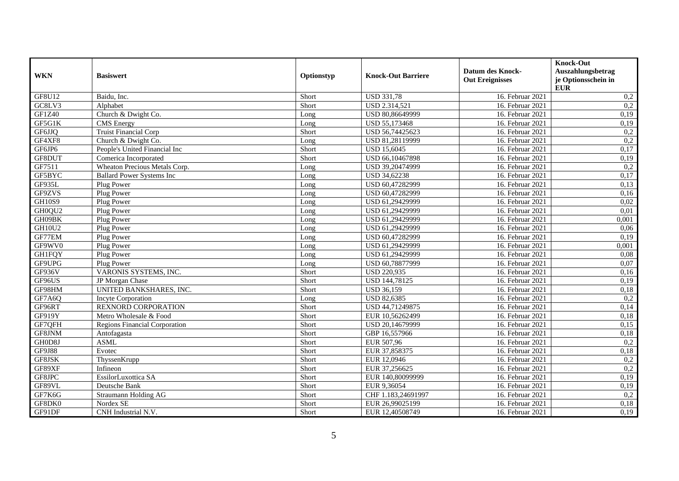| <b>WKN</b>    | <b>Basiswert</b>                     | Optionstyp | <b>Knock-Out Barriere</b> | <b>Datum des Knock-</b><br><b>Out Ereignisses</b> | <b>Knock-Out</b><br><b>Auszahlungsbetrag</b><br>je Optionsschein in |
|---------------|--------------------------------------|------------|---------------------------|---------------------------------------------------|---------------------------------------------------------------------|
|               |                                      |            |                           |                                                   | <b>EUR</b>                                                          |
| GF8U12        | Baidu, Inc.                          | Short      | <b>USD 331,78</b>         | 16. Februar 2021                                  | 0,2                                                                 |
| GC8LV3        | Alphabet                             | Short      | USD 2.314,521             | 16. Februar 2021                                  | $\overline{0,2}$                                                    |
| GF1Z40        | Church & Dwight Co.                  | Long       | USD 80,86649999           | 16. Februar 2021                                  | 0,19                                                                |
| GF5G1K        | <b>CMS</b> Energy                    | Long       | USD 55,173468             | 16. Februar 2021                                  | 0,19                                                                |
| GF6JJQ        | <b>Truist Financial Corp</b>         | Short      | USD 56,74425623           | 16. Februar 2021                                  | 0,2                                                                 |
| GF4XF8        | Church & Dwight Co.                  | Long       | USD 81,28119999           | 16. Februar 2021                                  | 0,2                                                                 |
| GF6JP6        | People's United Financial Inc        | Short      | <b>USD 15,6045</b>        | 16. Februar 2021                                  | 0,17                                                                |
| GF8DUT        | Comerica Incorporated                | Short      | USD 66,10467898           | 16. Februar 2021                                  | 0,19                                                                |
| GF7511        | Wheaton Precious Metals Corp.        | Long       | USD 39,20474999           | 16. Februar 2021                                  | 0,2                                                                 |
| GF5BYC        | <b>Ballard Power Systems Inc.</b>    | Long       | <b>USD 34,62238</b>       | 16. Februar 2021                                  | 0,17                                                                |
| GF935L        | Plug Power                           | Long       | USD 60,47282999           | 16. Februar 2021                                  | 0,13                                                                |
| GF9ZVS        | Plug Power                           | Long       | USD 60,47282999           | 16. Februar 2021                                  | 0,16                                                                |
| <b>GH10S9</b> | Plug Power                           | Long       | USD 61,29429999           | 16. Februar 2021                                  | 0,02                                                                |
| GH0QU2        | Plug Power                           | Long       | USD 61,29429999           | 16. Februar 2021                                  | 0,01                                                                |
| GH09BK        | Plug Power                           | Long       | USD 61,29429999           | 16. Februar 2021                                  | 0,001                                                               |
| GH10U2        | Plug Power                           | Long       | USD 61,29429999           | 16. Februar 2021                                  | 0,06                                                                |
| GF77EM        | Plug Power                           | Long       | USD 60,47282999           | 16. Februar 2021                                  | 0,19                                                                |
| GF9WV0        | Plug Power                           | Long       | USD 61,29429999           | 16. Februar 2021                                  | 0,001                                                               |
| <b>GH1FQY</b> | Plug Power                           | Long       | USD 61,29429999           | 16. Februar 2021                                  | 0,08                                                                |
| GF9UPG        | Plug Power                           | Long       | USD 60,78877999           | 16. Februar 2021                                  | 0,07                                                                |
| GF936V        | VARONIS SYSTEMS, INC.                | Short      | <b>USD 220,935</b>        | 16. Februar 2021                                  | 0,16                                                                |
| GF96US        | JP Morgan Chase                      | Short      | USD 144,78125             | 16. Februar 2021                                  | 0,19                                                                |
| GF98HM        | <b>UNITED BANKSHARES, INC.</b>       | Short      | <b>USD 36,159</b>         | 16. Februar 2021                                  | 0,18                                                                |
| GF7A6Q        | <b>Incyte Corporation</b>            | Long       | <b>USD 82,6385</b>        | 16. Februar 2021                                  | 0,2                                                                 |
| GF96RT        | REXNORD CORPORATION                  | Short      | USD 44,71249875           | 16. Februar 2021                                  | 0,14                                                                |
| GF919Y        | Metro Wholesale & Food               | Short      | EUR 10,56262499           | 16. Februar 2021                                  | 0,18                                                                |
| GF7QFH        | <b>Regions Financial Corporation</b> | Short      | USD 20,14679999           | 16. Februar 2021                                  | 0,15                                                                |
| GF8JNM        | Antofagasta                          | Short      | GBP 16,557966             | 16. Februar 2021                                  | 0,18                                                                |
| GH0D8J        | <b>ASML</b>                          | Short      | EUR 507,96                | 16. Februar 2021                                  | 0,2                                                                 |
| <b>GF9J88</b> | Evotec                               | Short      | EUR 37,858375             | 16. Februar 2021                                  | 0,18                                                                |
| GF8JSK        | ThyssenKrupp                         | Short      | EUR 12,0946               | 16. Februar 2021                                  | 0,2                                                                 |
| GF89XF        | Infineon                             | Short      | EUR 37,256625             | 16. Februar 2021                                  | 0,2                                                                 |
| GF8JPC        | EssilorLuxottica SA                  | Short      | EUR 140,80099999          | 16. Februar 2021                                  | 0,19                                                                |
| GF89VL        | Deutsche Bank                        | Short      | EUR 9,36054               | 16. Februar 2021                                  | 0,19                                                                |
| GF7K6G        | Straumann Holding AG                 | Short      | CHF 1.183,24691997        | 16. Februar 2021                                  | 0,2                                                                 |
| GF8DK0        | Nordex SE                            | Short      | EUR 26,99025199           | 16. Februar 2021                                  | 0,18                                                                |
| GF91DF        | CNH Industrial N.V.                  | Short      | EUR 12,40508749           | 16. Februar 2021                                  | 0,19                                                                |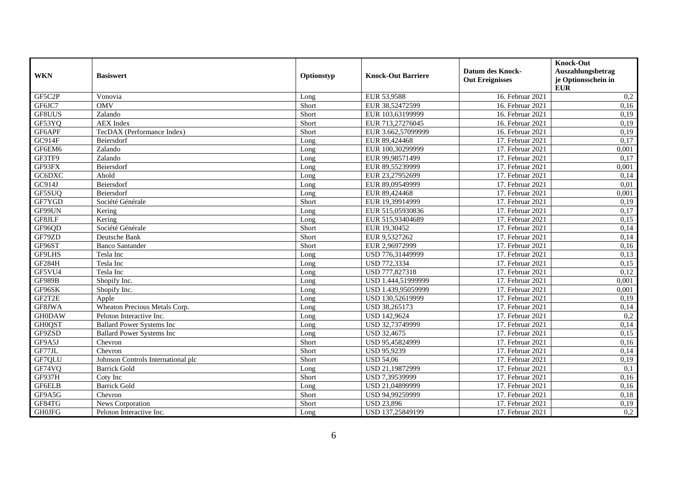|               |                                    |            |                           |                         | <b>Knock-Out</b>    |
|---------------|------------------------------------|------------|---------------------------|-------------------------|---------------------|
|               |                                    |            |                           | <b>Datum des Knock-</b> | Auszahlungsbetrag   |
| <b>WKN</b>    | <b>Basiswert</b>                   | Optionstyp | <b>Knock-Out Barriere</b> | <b>Out Ereignisses</b>  | je Optionsschein in |
|               |                                    |            |                           |                         | <b>EUR</b>          |
| GF5C2P        | Vonovia                            | Long       | EUR 53,9588               | 16. Februar 2021        | 0,2                 |
| GF6JC7        | <b>OMV</b>                         | Short      | EUR 38,52472599           | 16. Februar 2021        | 0,16                |
| GF8UUS        | Zalando                            | Short      | EUR 103,63199999          | 16. Februar 2021        | 0,19                |
| GF53YQ        | <b>AEX</b> Index                   | Short      | EUR 713,27276045          | 16. Februar 2021        | 0,19                |
| GF6APF        | TecDAX (Performance Index)         | Short      | EUR 3.662,57099999        | 16. Februar 2021        | 0,19                |
| GC914F        | Beiersdorf                         | Long       | EUR 89,424468             | 17. Februar 2021        | 0,17                |
| GF6EM6        | Zalando                            | Long       | EUR 100.30299999          | 17. Februar 2021        | 0.001               |
| GF3TF9        | Zalando                            | Long       | EUR 99,98571499           | 17. Februar 2021        | 0,17                |
| GF93FX        | Beiersdorf                         | Long       | EUR 89,55239999           | 17. Februar 2021        | 0,001               |
| GC6DXC        | Ahold                              | Long       | EUR 23,27952699           | 17. Februar 2021        | 0,14                |
| GC914J        | Beiersdorf                         | Long       | EUR 89,09549999           | 17. Februar 2021        | 0,01                |
| GF5SUQ        | Beiersdorf                         | Long       | EUR 89,424468             | 17. Februar 2021        | 0,001               |
| GF7YGD        | Société Générale                   | Short      | EUR 19,39914999           | 17. Februar 2021        | 0,19                |
| GF99UN        | Kering                             | Long       | EUR 515,05930836          | 17. Februar 2021        | 0,17                |
| GF8JLF        | Kering                             | Long       | EUR 515,93404689          | 17. Februar 2021        | 0,15                |
| GF96QD        | Société Générale                   | Short      | EUR 19,30452              | 17. Februar 2021        | 0,14                |
| GF79ZD        | Deutsche Bank                      | Short      | EUR 9,5327262             | 17. Februar 2021        | 0.14                |
| GF96ST        | Banco Santander                    | Short      | EUR 2,96972999            | 17. Februar 2021        | 0,16                |
| GF9LHS        | Tesla Inc                          | Long       | USD 776,31449999          | 17. Februar 2021        | 0,13                |
| <b>GF284H</b> | Tesla Inc                          | Long       | USD 772,3334              | 17. Februar 2021        | 0,15                |
| GF5VU4        | Tesla Inc                          | Long       | USD 777,827318            | 17. Februar 2021        | 0,12                |
| <b>GF989B</b> | Shopify Inc.                       | Long       | USD 1.444,51999999        | 17. Februar 2021        | 0,001               |
| GF96SK        | Shopify Inc.                       | Long       | USD 1.439,95059999        | 17. Februar 2021        | 0,001               |
| GF2T2E        | Apple                              | Long       | USD 130,52619999          | 17. Februar 2021        | 0,19                |
| GF8JWA        | Wheaton Precious Metals Corp.      | Long       | USD 38,265173             | 17. Februar 2021        | 0,14                |
| <b>GH0DAW</b> | Peloton Interactive Inc.           | Long       | USD 142,9624              | 17. Februar 2021        | 0,2                 |
| <b>GH0QST</b> | <b>Ballard Power Systems Inc</b>   | Long       | USD 32,73749999           | 17. Februar 2021        | 0,14                |
| GF9ZSD        | <b>Ballard Power Systems Inc</b>   | Long       | <b>USD 32,4675</b>        | 17. Februar 2021        | 0,15                |
| GF9A5J        | Chevron                            | Short      | USD 95,45824999           | 17. Februar 2021        | 0,16                |
| GF77JL        | Chevron                            | Short      | <b>USD 95,9239</b>        | 17. Februar 2021        | 0,14                |
| GF7QLU        | Johnson Controls International plc | Short      | <b>USD 54,06</b>          | 17. Februar 2021        | 0,19                |
| GF74VQ        | <b>Barrick Gold</b>                | Long       | USD 21,19872999           | 17. Februar 2021        | 0,1                 |
| GF937H        | Coty Inc                           | Short      | USD 7,39539999            | 17. Februar 2021        | 0,16                |
| <b>GF6ELB</b> | <b>Barrick Gold</b>                | Long       | USD 21,04899999           | 17. Februar 2021        | 0,16                |
| GF9A5G        | Chevron                            | Short      | USD 94,99259999           | 17. Februar 2021        | 0,18                |
| GF84TG        | News Corporation                   | Short      | <b>USD 23,896</b>         | 17. Februar 2021        | 0,19                |
| <b>GH0JFG</b> | Peloton Interactive Inc.           | Long       | USD 137,25849199          | 17. Februar 2021        | 0,2                 |